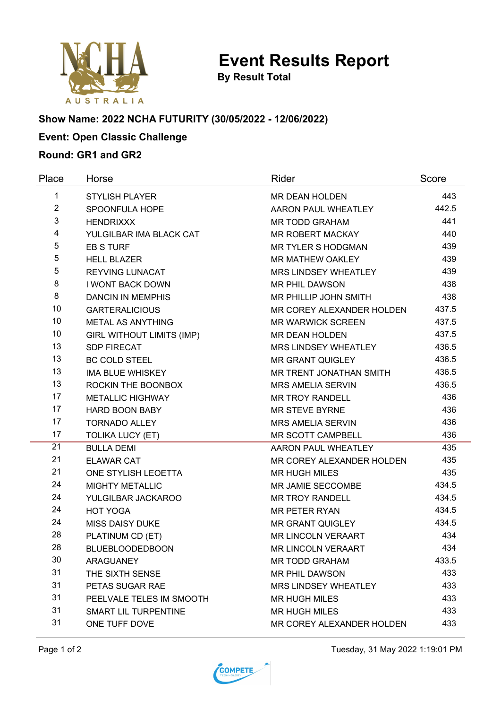

**By Result Total**

# **Show Name: 2022 NCHA FUTURITY (30/05/2022 - 12/06/2022)**

## **Event: Open Classic Challenge**

### **Round: GR1 and GR2**

| Place          | Horse                            | Rider                       | Score |
|----------------|----------------------------------|-----------------------------|-------|
| 1              | <b>STYLISH PLAYER</b>            | <b>MR DEAN HOLDEN</b>       | 443   |
| $\overline{2}$ | SPOONFULA HOPE                   | AARON PAUL WHEATLEY         | 442.5 |
| $\mathbf{3}$   | <b>HENDRIXXX</b>                 | <b>MR TODD GRAHAM</b>       | 441   |
| 4              | YULGILBAR IMA BLACK CAT          | <b>MR ROBERT MACKAY</b>     | 440   |
| 5              | <b>EB S TURF</b>                 | <b>MR TYLER S HODGMAN</b>   | 439   |
| 5              | <b>HELL BLAZER</b>               | MR MATHEW OAKLEY            | 439   |
| 5              | <b>REYVING LUNACAT</b>           | <b>MRS LINDSEY WHEATLEY</b> | 439   |
| 8              | <b>I WONT BACK DOWN</b>          | <b>MR PHIL DAWSON</b>       | 438   |
| 8              | <b>DANCIN IN MEMPHIS</b>         | MR PHILLIP JOHN SMITH       | 438   |
| 10             | <b>GARTERALICIOUS</b>            | MR COREY ALEXANDER HOLDEN   | 437.5 |
| 10             | <b>METAL AS ANYTHING</b>         | <b>MR WARWICK SCREEN</b>    | 437.5 |
| 10             | <b>GIRL WITHOUT LIMITS (IMP)</b> | <b>MR DEAN HOLDEN</b>       | 437.5 |
| 13             | <b>SDP FIRECAT</b>               | <b>MRS LINDSEY WHEATLEY</b> | 436.5 |
| 13             | <b>BC COLD STEEL</b>             | <b>MR GRANT QUIGLEY</b>     | 436.5 |
| 13             | <b>IMA BLUE WHISKEY</b>          | MR TRENT JONATHAN SMITH     | 436.5 |
| 13             | ROCKIN THE BOONBOX               | <b>MRS AMELIA SERVIN</b>    | 436.5 |
| 17             | <b>METALLIC HIGHWAY</b>          | <b>MR TROY RANDELL</b>      | 436   |
| 17             | <b>HARD BOON BABY</b>            | <b>MR STEVE BYRNE</b>       | 436   |
| 17             | <b>TORNADO ALLEY</b>             | <b>MRS AMELIA SERVIN</b>    | 436   |
| 17             | <b>TOLIKA LUCY (ET)</b>          | MR SCOTT CAMPBELL           | 436   |
| 21             | <b>BULLA DEMI</b>                | AARON PAUL WHEATLEY         | 435   |
| 21             | <b>ELAWAR CAT</b>                | MR COREY ALEXANDER HOLDEN   | 435   |
| 21             | ONE STYLISH LEOETTA              | <b>MR HUGH MILES</b>        | 435   |
| 24             | <b>MIGHTY METALLIC</b>           | MR JAMIE SECCOMBE           | 434.5 |
| 24             | YULGILBAR JACKAROO               | <b>MR TROY RANDELL</b>      | 434.5 |
| 24             | <b>HOT YOGA</b>                  | <b>MR PETER RYAN</b>        | 434.5 |
| 24             | <b>MISS DAISY DUKE</b>           | <b>MR GRANT QUIGLEY</b>     | 434.5 |
| 28             | PLATINUM CD (ET)                 | <b>MR LINCOLN VERAART</b>   | 434   |
| 28             | <b>BLUEBLOODEDBOON</b>           | <b>MR LINCOLN VERAART</b>   | 434   |
| 30             | ARAGUANEY                        | <b>MR TODD GRAHAM</b>       | 433.5 |
| 31             | THE SIXTH SENSE                  | <b>MR PHIL DAWSON</b>       | 433   |
| 31             | PETAS SUGAR RAE                  | MRS LINDSEY WHEATLEY        | 433   |
| 31             | PEELVALE TELES IM SMOOTH         | <b>MR HUGH MILES</b>        | 433   |
| 31             | <b>SMART LIL TURPENTINE</b>      | <b>MR HUGH MILES</b>        | 433   |
| 31             | ONE TUFF DOVE                    | MR COREY ALEXANDER HOLDEN   | 433   |